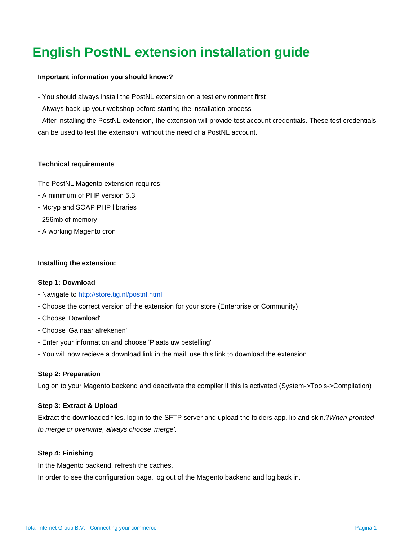# **English PostNL extension installation guide**

## **Important information you should know:?**

- You should always install the PostNL extension on a test environment first
- Always back-up your webshop before starting the installation process

- After installing the PostNL extension, the extension will provide test account credentials. These test credentials can be used to test the extension, without the need of a PostNL account.

## **Technical requirements**

The PostNL Magento extension requires:

- A minimum of PHP version 5.3
- Mcryp and SOAP PHP libraries
- 256mb of memory
- A working Magento cron

### **Installing the extension:**

### **Step 1: Download**

- Navigate to<http://store.tig.nl/postnl.html>
- Choose the correct version of the extension for your store (Enterprise or Community)
- Choose 'Download'
- Choose 'Ga naar afrekenen'
- Enter your information and choose 'Plaats uw bestelling'
- You will now recieve a download link in the mail, use this link to download the extension

### **Step 2: Preparation**

Log on to your Magento backend and deactivate the compiler if this is activated (System->Tools->Compliation)

### **Step 3: Extract & Upload**

Extract the downloaded files, log in to the SFTP server and upload the folders app, lib and skin.?When promted to merge or overwrite, always choose 'merge'.

### **Step 4: Finishing**

In the Magento backend, refresh the caches.

In order to see the configuration page, log out of the Magento backend and log back in.